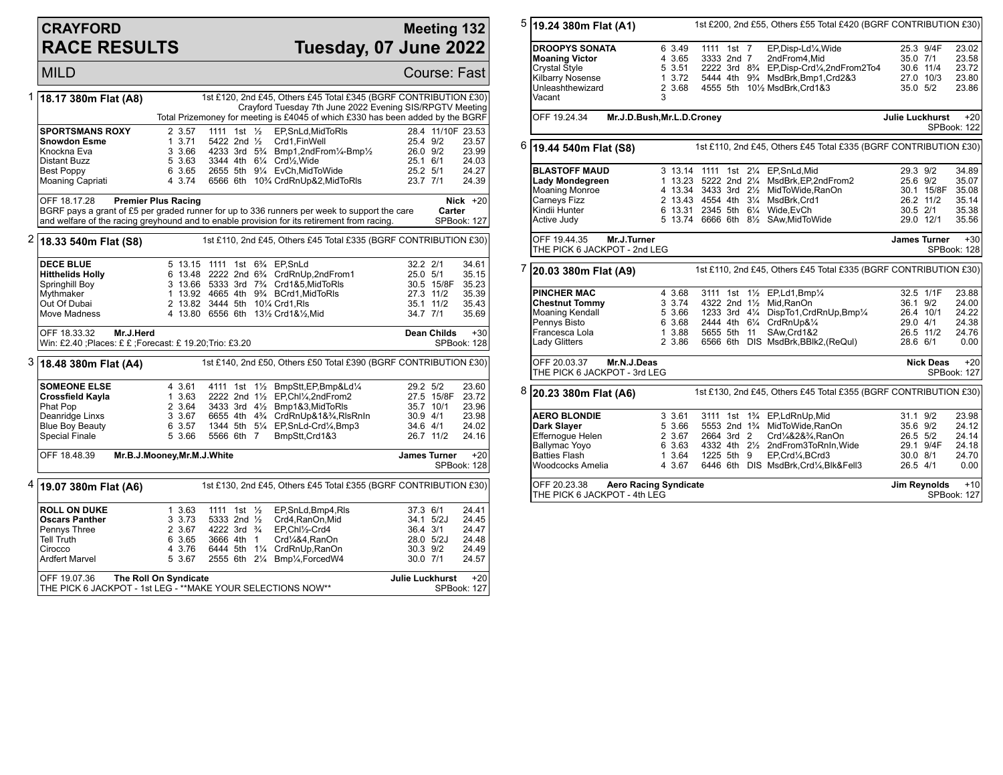## **CRAYFORD RACE RESULTS**

## **Meeting 132 Tuesday, 07 June 2022**

**MILD** Course: Fast

| 1 | 18.17 380m Flat (A8)                                                                        |                                                                                              |  |                                      | 1st £120, 2nd £45, Others £45 Total £345 (BGRF CONTRIBUTION £30)<br>Crayford Tuesday 7th June 2022 Evening SIS/RPGTV Meeting<br>Total Prizemoney for meeting is £4045 of which £330 has been added by the BGRF |              |                    |                    |  |  |  |
|---|---------------------------------------------------------------------------------------------|----------------------------------------------------------------------------------------------|--|--------------------------------------|----------------------------------------------------------------------------------------------------------------------------------------------------------------------------------------------------------------|--------------|--------------------|--------------------|--|--|--|
|   |                                                                                             |                                                                                              |  |                                      |                                                                                                                                                                                                                |              |                    |                    |  |  |  |
|   | <b>SPORTSMANS ROXY</b>                                                                      | 2 3.57                                                                                       |  | 1111 1st $\frac{1}{2}$               | EP, SnLd, Mid To RIs                                                                                                                                                                                           |              | 28.4 11/10F 23.53  |                    |  |  |  |
|   | <b>Snowdon Esme</b>                                                                         | 13.71                                                                                        |  | 5422 2nd 1/2                         | Crd1,FinWell                                                                                                                                                                                                   | 25.4 9/2     |                    | 23.57              |  |  |  |
|   | Knockna Eva                                                                                 | 3 3.66                                                                                       |  |                                      | 4233 3rd 5 <sup>3</sup> / <sub>4</sub> Bmp1,2ndFrom <sup>1</sup> / <sub>4</sub> -Bmp <sup>1</sup> / <sub>2</sub>                                                                                               | 26.0 9/2     |                    | 23.99              |  |  |  |
|   | Distant Buzz                                                                                | 5 3.63                                                                                       |  |                                      | 3344 4th 61/4 Crd1/2, Wide                                                                                                                                                                                     | 25.1 6/1     |                    | 24.03              |  |  |  |
|   | <b>Best Poppy</b>                                                                           | 6 3.65                                                                                       |  |                                      | 2655 5th 91/4 EvCh, MidToWide                                                                                                                                                                                  | 25.2 5/1     |                    | 24.27              |  |  |  |
|   | Moaning Capriati                                                                            | 4 3.74                                                                                       |  |                                      | 6566 6th 10% CrdRnUp&2, MidToRIs                                                                                                                                                                               | 23.7 7/1     |                    | 24.39              |  |  |  |
|   | OFF 18.17.28                                                                                | <b>Premier Plus Racing</b>                                                                   |  |                                      |                                                                                                                                                                                                                |              |                    |                    |  |  |  |
|   |                                                                                             | BGRF pays a grant of £5 per graded runner for up to 336 runners per week to support the care |  |                                      |                                                                                                                                                                                                                |              |                    |                    |  |  |  |
|   | and welfare of the racing greyhound and to enable provision for its retirement from racing. |                                                                                              |  |                                      |                                                                                                                                                                                                                |              |                    | <b>SPBook: 127</b> |  |  |  |
|   |                                                                                             |                                                                                              |  |                                      |                                                                                                                                                                                                                |              |                    |                    |  |  |  |
|   | <sup>2</sup> 18.33 540m Flat (S8)                                                           |                                                                                              |  |                                      | 1st £110, 2nd £45, Others £45 Total £335 (BGRF CONTRIBUTION £30)                                                                                                                                               |              |                    |                    |  |  |  |
|   | <b>DECE BLUE</b>                                                                            |                                                                                              |  |                                      | 5 13.15 1111 1st 634 EP, SnLd                                                                                                                                                                                  | 32.2 2/1     |                    | 34.61              |  |  |  |
|   | <b>Hitthelids Holly</b>                                                                     |                                                                                              |  |                                      | 6 13.48 2222 2nd 6 <sup>3</sup> /4 CrdRnUp,2ndFrom1                                                                                                                                                            | 25.0 5/1     |                    | 35.15              |  |  |  |
|   | Springhill Boy                                                                              |                                                                                              |  |                                      | 3 13.66 5333 3rd 73/4 Crd1&5, MidToRIs                                                                                                                                                                         |              | 30.5 15/8F         | 35.23              |  |  |  |
|   |                                                                                             |                                                                                              |  |                                      | 1 13.92 4665 4th 93/4 BCrd1, MidToRIs                                                                                                                                                                          |              | 27.3 11/2          |                    |  |  |  |
|   | Mythmaker                                                                                   |                                                                                              |  |                                      |                                                                                                                                                                                                                |              |                    | 35.39              |  |  |  |
|   | Out Of Dubai                                                                                |                                                                                              |  |                                      | 2 13.82 3444 5th 101/4 Crd1, RIs                                                                                                                                                                               |              | 35.1 11/2          | 35.43              |  |  |  |
|   | Move Madness                                                                                |                                                                                              |  |                                      | 4 13.80 6556 6th 131/2 Crd1&1/2, Mid                                                                                                                                                                           | 34.7 7/1     |                    | 35.69              |  |  |  |
|   | Mr.J.Herd<br>OFF 18.33.32                                                                   |                                                                                              |  |                                      |                                                                                                                                                                                                                |              | <b>Dean Childs</b> | $+30$              |  |  |  |
|   | Win: £2.40 ;Places: £ £ ;Forecast: £ 19.20;Trio: £3.20                                      |                                                                                              |  |                                      |                                                                                                                                                                                                                |              |                    | <b>SPBook: 128</b> |  |  |  |
|   | 3 18.48 380m Flat (A4)                                                                      | 1st £140, 2nd £50, Others £50 Total £390 (BGRF CONTRIBUTION £30)                             |  |                                      |                                                                                                                                                                                                                |              |                    |                    |  |  |  |
|   | <b>SOMEONE ELSE</b>                                                                         | 4 3.61                                                                                       |  |                                      | 4111 1st 11/2 BmpStt, EP, Bmp&Ld1/4                                                                                                                                                                            | 29.2 5/2     |                    | 23.60              |  |  |  |
|   | Crossfield Kayla                                                                            | 1 3.63                                                                                       |  |                                      | 2222 2nd 11/2 EP.Chl1/4.2ndFrom2                                                                                                                                                                               |              | 27.5 15/8F         | 23.72              |  |  |  |
|   | Phat Pop                                                                                    | 2 3.64                                                                                       |  |                                      | 3433 3rd 41/2 Bmp1&3, MidToRIs                                                                                                                                                                                 |              | 35.7 10/1          | 23.96              |  |  |  |
|   | Deanridge Linxs                                                                             | 3 3.67                                                                                       |  |                                      | 6655 4th 43/4 CrdRnUp&1&3/4, RIsRnIn                                                                                                                                                                           | 30.9 4/1     |                    | 23.98              |  |  |  |
|   | <b>Blue Boy Beauty</b>                                                                      | 6 3.57                                                                                       |  |                                      | 1344 5th 51/4 EP, SnLd-Crd1/4, Bmp3                                                                                                                                                                            | 34.6 4/1     |                    | 24.02              |  |  |  |
|   | Special Finale                                                                              | 5 3.66                                                                                       |  | 5566 6th 7                           | BmpStt, Crd1&3                                                                                                                                                                                                 |              | 26.7 11/2          | 24.16              |  |  |  |
|   |                                                                                             |                                                                                              |  |                                      |                                                                                                                                                                                                                |              |                    |                    |  |  |  |
|   | OFF 18.48.39                                                                                | Mr.B.J.Mooney, Mr.M.J. White<br><b>James Turner</b>                                          |  |                                      |                                                                                                                                                                                                                |              |                    |                    |  |  |  |
|   | <sup>4</sup>  19.07 380m Flat (A6)                                                          |                                                                                              |  |                                      | 1st £130, 2nd £45, Others £45 Total £355 (BGRF CONTRIBUTION £30)                                                                                                                                               |              |                    |                    |  |  |  |
|   |                                                                                             |                                                                                              |  |                                      |                                                                                                                                                                                                                |              |                    |                    |  |  |  |
|   | <b>ROLL ON DUKE</b>                                                                         | 1 3.63                                                                                       |  | 1111 1st $\frac{1}{2}$               | EP, SnLd, Bmp4, RIs                                                                                                                                                                                            | 37.3 6/1     |                    | 24.41              |  |  |  |
|   | <b>Oscars Panther</b>                                                                       | 3 3.73                                                                                       |  | 5333 2nd 1/2                         | Crd4, RanOn, Mid                                                                                                                                                                                               |              | 34.1 5/2J          | 24.45              |  |  |  |
|   | Pennys Three                                                                                | 2 3.67                                                                                       |  | 4222 3rd <sup>3</sup> / <sub>4</sub> | EP,Chl1/2-Crd4                                                                                                                                                                                                 | 36.4 3/1     |                    | 24.47              |  |  |  |
|   | Tell Truth                                                                                  | 6 3.65                                                                                       |  | 3666 4th 1                           | Crd1/4&4, RanOn                                                                                                                                                                                                |              | 28.0 5/2J          | 24.48              |  |  |  |
|   | Cirocco                                                                                     | 4 3.76                                                                                       |  |                                      | 6444 5th 11/4 CrdRnUp, RanOn                                                                                                                                                                                   | $30.3$ $9/2$ |                    | 24.49              |  |  |  |
|   | Ardfert Marvel                                                                              | 5 3.67                                                                                       |  |                                      | 2555 6th 21/4 Bmp1/4, Forced W4                                                                                                                                                                                | 30.0 7/1     |                    | 24.57              |  |  |  |
|   |                                                                                             | $+20$<br>OFF 19.07.36<br><b>Julie Luckhurst</b><br>The Roll On Syndicate                     |  |                                      |                                                                                                                                                                                                                |              |                    |                    |  |  |  |
|   |                                                                                             | THE PICK 6 JACKPOT - 1st LEG - ** MAKE YOUR SELECTIONS NOW**                                 |  |                                      |                                                                                                                                                                                                                |              |                    |                    |  |  |  |

|                           | 1st £200, 2nd £55, Others £55 Total £420 (BGRF CONTRIBUTION £30)<br>19.24 380m Flat (A1)                                                                                                                                                                                                                                                                                                                                                                                                                                                                                              |                                                                                                                            |                                                            |                                                                                                             |                                                                                                                                                                                                                                                                                                                                                                                                                                                                                                                                                                                                                         |                                                                                                  |                                                                                                                                                                                                                                                                                                                                                                                                                                                                                                                                                                                                      |  |
|---------------------------|---------------------------------------------------------------------------------------------------------------------------------------------------------------------------------------------------------------------------------------------------------------------------------------------------------------------------------------------------------------------------------------------------------------------------------------------------------------------------------------------------------------------------------------------------------------------------------------|----------------------------------------------------------------------------------------------------------------------------|------------------------------------------------------------|-------------------------------------------------------------------------------------------------------------|-------------------------------------------------------------------------------------------------------------------------------------------------------------------------------------------------------------------------------------------------------------------------------------------------------------------------------------------------------------------------------------------------------------------------------------------------------------------------------------------------------------------------------------------------------------------------------------------------------------------------|--------------------------------------------------------------------------------------------------|------------------------------------------------------------------------------------------------------------------------------------------------------------------------------------------------------------------------------------------------------------------------------------------------------------------------------------------------------------------------------------------------------------------------------------------------------------------------------------------------------------------------------------------------------------------------------------------------------|--|
| Vacant                    | 6 3.49<br>4 3.65<br>5 3.51<br>1, 3.72<br>2 3.68<br>3                                                                                                                                                                                                                                                                                                                                                                                                                                                                                                                                  |                                                                                                                            |                                                            | EP,Disp-Ld1/4,Wide<br>2ndFrom4.Mid                                                                          |                                                                                                                                                                                                                                                                                                                                                                                                                                                                                                                                                                                                                         |                                                                                                  | 23.02<br>23.58<br>23.72<br>23.80<br>23.86                                                                                                                                                                                                                                                                                                                                                                                                                                                                                                                                                            |  |
|                           |                                                                                                                                                                                                                                                                                                                                                                                                                                                                                                                                                                                       |                                                                                                                            |                                                            | $+20$<br>SPBook: 122                                                                                        |                                                                                                                                                                                                                                                                                                                                                                                                                                                                                                                                                                                                                         |                                                                                                  |                                                                                                                                                                                                                                                                                                                                                                                                                                                                                                                                                                                                      |  |
| 6<br>19.44 540m Flat (S8) |                                                                                                                                                                                                                                                                                                                                                                                                                                                                                                                                                                                       |                                                                                                                            |                                                            |                                                                                                             |                                                                                                                                                                                                                                                                                                                                                                                                                                                                                                                                                                                                                         |                                                                                                  |                                                                                                                                                                                                                                                                                                                                                                                                                                                                                                                                                                                                      |  |
|                           |                                                                                                                                                                                                                                                                                                                                                                                                                                                                                                                                                                                       |                                                                                                                            |                                                            | MsdBrk, EP, 2nd From 2<br>MsdBrk.Crd1                                                                       |                                                                                                                                                                                                                                                                                                                                                                                                                                                                                                                                                                                                                         |                                                                                                  | 34.89<br>35.07<br>35.08<br>35.14<br>35.38<br>35.56                                                                                                                                                                                                                                                                                                                                                                                                                                                                                                                                                   |  |
| OFF 19.44.35              |                                                                                                                                                                                                                                                                                                                                                                                                                                                                                                                                                                                       |                                                                                                                            |                                                            |                                                                                                             |                                                                                                                                                                                                                                                                                                                                                                                                                                                                                                                                                                                                                         |                                                                                                  | $+30$<br>SPBook: 128                                                                                                                                                                                                                                                                                                                                                                                                                                                                                                                                                                                 |  |
|                           |                                                                                                                                                                                                                                                                                                                                                                                                                                                                                                                                                                                       |                                                                                                                            |                                                            |                                                                                                             |                                                                                                                                                                                                                                                                                                                                                                                                                                                                                                                                                                                                                         |                                                                                                  |                                                                                                                                                                                                                                                                                                                                                                                                                                                                                                                                                                                                      |  |
|                           | 4 3.68<br>3 3.74<br>5 3.66<br>6 3.68<br>1 3.88<br>2 3.86                                                                                                                                                                                                                                                                                                                                                                                                                                                                                                                              | 3111 1st                                                                                                                   |                                                            | Mid.RanOn<br>SAw, Crd1&2                                                                                    |                                                                                                                                                                                                                                                                                                                                                                                                                                                                                                                                                                                                                         |                                                                                                  | 23.88<br>24.00<br>24.22<br>24.38<br>24.76<br>0.00                                                                                                                                                                                                                                                                                                                                                                                                                                                                                                                                                    |  |
|                           |                                                                                                                                                                                                                                                                                                                                                                                                                                                                                                                                                                                       |                                                                                                                            |                                                            |                                                                                                             |                                                                                                                                                                                                                                                                                                                                                                                                                                                                                                                                                                                                                         |                                                                                                  | $+20$<br>SPBook: 127                                                                                                                                                                                                                                                                                                                                                                                                                                                                                                                                                                                 |  |
|                           |                                                                                                                                                                                                                                                                                                                                                                                                                                                                                                                                                                                       |                                                                                                                            |                                                            |                                                                                                             |                                                                                                                                                                                                                                                                                                                                                                                                                                                                                                                                                                                                                         |                                                                                                  |                                                                                                                                                                                                                                                                                                                                                                                                                                                                                                                                                                                                      |  |
|                           | 3 3.61<br>5 3.66<br>2 3.67<br>6 3.63<br>1 3.64<br>4 3.67                                                                                                                                                                                                                                                                                                                                                                                                                                                                                                                              | 3111 1st                                                                                                                   |                                                            | Crd1/4&2&3/4, RanOn<br>EP.Crd1⁄4.BCrd3                                                                      |                                                                                                                                                                                                                                                                                                                                                                                                                                                                                                                                                                                                                         |                                                                                                  | 23.98<br>24.12<br>24.14<br>24.18<br>24.70<br>0.00<br>$+10$                                                                                                                                                                                                                                                                                                                                                                                                                                                                                                                                           |  |
|                           | <b>DROOPYS SONATA</b><br><b>Moaning Victor</b><br>Crystal Style<br>Kilbarry Nosense<br>Unleashthewizard<br>OFF 19.24.34<br><b>BLASTOFF MAUD</b><br>Lady Mondegreen<br><b>Moaning Monroe</b><br>Carneys Fizz<br>Kindii Hunter<br>Active Judy<br>20.03 380m Flat (A9)<br><b>PINCHER MAC</b><br><b>Chestnut Tommy</b><br><b>Moaning Kendall</b><br>Pennys Bisto<br>Francesca Lola<br>Lady Glitters<br>OFF 20.03.37<br>20.23 380m Flat (A6)<br><b>AERO BLONDIE</b><br>Dark Slayer<br>Effernogue Helen<br><b>Ballymac Yoyo</b><br><b>Batties Flash</b><br>Woodcocks Amelia<br>OFF 20.23.38 | Mr.J.Turner<br>THE PICK 6 JACKPOT - 2nd LEG<br>Mr.N.J.Deas<br>THE PICK 6 JACKPOT - 3rd LEG<br>THE PICK 6 JACKPOT - 4th LEG | Mr.J.D.Bush, Mr.L.D.Croney<br><b>Aero Racing Syndicate</b> | 1111 1st 7<br>3333 2nd 7<br>1 13.23 5222 2nd 21/4<br>4322 2nd 1½<br>5655 5th 11<br>2664 3rd 2<br>1225 5th 9 | 5444 4th 9 <sup>3</sup> / <sub>4</sub> MsdBrk, Bmp1, Crd2&3<br>4555 5th 101/2 MsdBrk.Crd1&3<br>3 13.14 1111 1st 21/4 EP.SnLd.Mid<br>4 13.34 3433 3rd 21/2 MidToWide, RanOn<br>2 13.43 4554 4th 31/4<br>6 13.31 2345 5th 61/4 Wide, EvCh<br>5 13.74 6666 6th 81/2 SAw, MidTo Wide<br>11/ <sub>2</sub> EP,Ld1,Bmp <sup>1</sup> / <sub>4</sub><br>1233 3rd 41/4 DispTo1, CrdRnUp, Bmp1/4<br>2444 4th 61/4 CrdRnUp&1/4<br>6566 6th DIS MsdBrk, BBlk2, (ReQul)<br>1% EP,LdRnUp,Mid<br>5553 2nd 1 <sup>3</sup> / <sub>4</sub> MidToWide.RanOn<br>4332 4th 21/2 2ndFrom3ToRnIn, Wide<br>6446 6th DIS MsdBrk, Crd1/4, Blk&Fell3 | 2222 3rd 8 <sup>3</sup> / <sub>4</sub> EP, Disp-Crd <sup>1</sup> / <sub>4</sub> , 2nd From 2To 4 | 25.3 9/4F<br>35.0 7/1<br>30.6 11/4<br>27.0 10/3<br>35.0 5/2<br>Julie Luckhurst<br>1st £110, 2nd £45, Others £45 Total £335 (BGRF CONTRIBUTION £30)<br>29.3 9/2<br>25.6 9/2<br>30.1 15/8F<br>26.2 11/2<br>30.5 2/1<br>29.0 12/1<br><b>James Turner</b><br>1st £110, 2nd £45, Others £45 Total £335 (BGRF CONTRIBUTION £30)<br>32.5 1/1F<br>36.1 9/2<br>26.4 10/1<br>29.0 4/1<br>26.5 11/2<br>28.6 6/1<br><b>Nick Deas</b><br>1st £130, 2nd £45, Others £45 Total £355 (BGRF CONTRIBUTION £30)<br>31.1 9/2<br>35.6 9/2<br>26.5 5/2<br>29.1 9/4F<br>30.0 8/1<br>26.5 4/1<br>Jim Reynolds<br>SPBook: 127 |  |